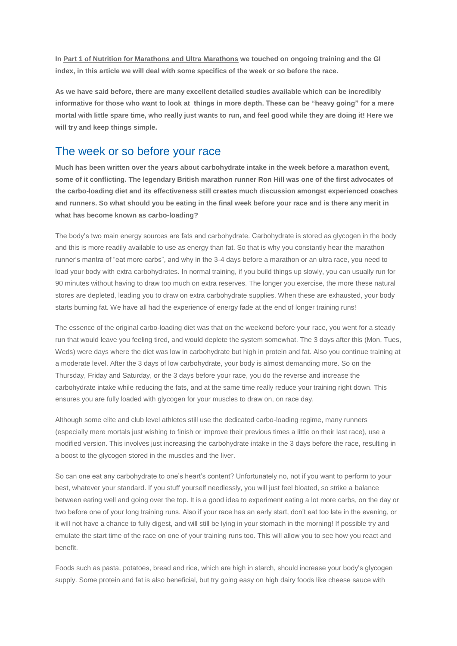**I[n Part 1 of Nutrition for Marathons and Ultra Marathons](http://run.runandbecome.com/running-training-advice/marathon-training/nutrition-for-marathons-and-ultra-marathons-part-1/) we touched on ongoing training and the GI index, in this article we will deal with some specifics of the week or so before the race.**

**As we have said before, there are many excellent detailed studies available which can be incredibly informative for those who want to look at things in more depth. These can be "heavy going" for a mere mortal with little spare time, who really just wants to run, and feel good while they are doing it! Here we will try and keep things simple.**

## The week or so before your race

**Much has been written over the years about carbohydrate intake in the week before a marathon event, some of it conflicting. The legendary British marathon runner Ron Hill was one of the first advocates of the carbo-loading diet and its effectiveness still creates much discussion amongst experienced coaches and runners. So what should you be eating in the final week before your race and is there any merit in what has become known as carbo-loading?**

The body's two main energy sources are fats and carbohydrate. Carbohydrate is stored as glycogen in the body and this is more readily available to use as energy than fat. So that is why you constantly hear the marathon runner's mantra of "eat more carbs", and why in the 3-4 days before a marathon or an ultra race, you need to load your body with extra carbohydrates. In normal training, if you build things up slowly, you can usually run for 90 minutes without having to draw too much on extra reserves. The longer you exercise, the more these natural stores are depleted, leading you to draw on extra carbohydrate supplies. When these are exhausted, your body starts burning fat. We have all had the experience of energy fade at the end of longer training runs!

The essence of the original carbo-loading diet was that on the weekend before your race, you went for a steady run that would leave you feeling tired, and would deplete the system somewhat. The 3 days after this (Mon, Tues, Weds) were days where the diet was low in carbohydrate but high in protein and fat. Also you continue training at a moderate level. After the 3 days of low carbohydrate, your body is almost demanding more. So on the Thursday, Friday and Saturday, or the 3 days before your race, you do the reverse and increase the carbohydrate intake while reducing the fats, and at the same time really reduce your training right down. This ensures you are fully loaded with glycogen for your muscles to draw on, on race day.

Although some elite and club level athletes still use the dedicated carbo-loading regime, many runners (especially mere mortals just wishing to finish or improve their previous times a little on their last race), use a modified version. This involves just increasing the carbohydrate intake in the 3 days before the race, resulting in a boost to the glycogen stored in the muscles and the liver.

So can one eat any carbohydrate to one's heart's content? Unfortunately no, not if you want to perform to your best, whatever your standard. If you stuff yourself needlessly, you will just feel bloated, so strike a balance between eating well and going over the top. It is a good idea to experiment eating a lot more carbs, on the day or two before one of your long training runs. Also if your race has an early start, don't eat too late in the evening, or it will not have a chance to fully digest, and will still be lying in your stomach in the morning! If possible try and emulate the start time of the race on one of your training runs too. This will allow you to see how you react and benefit.

Foods such as pasta, potatoes, bread and rice, which are high in starch, should increase your body's glycogen supply. Some protein and fat is also beneficial, but try going easy on high dairy foods like cheese sauce with